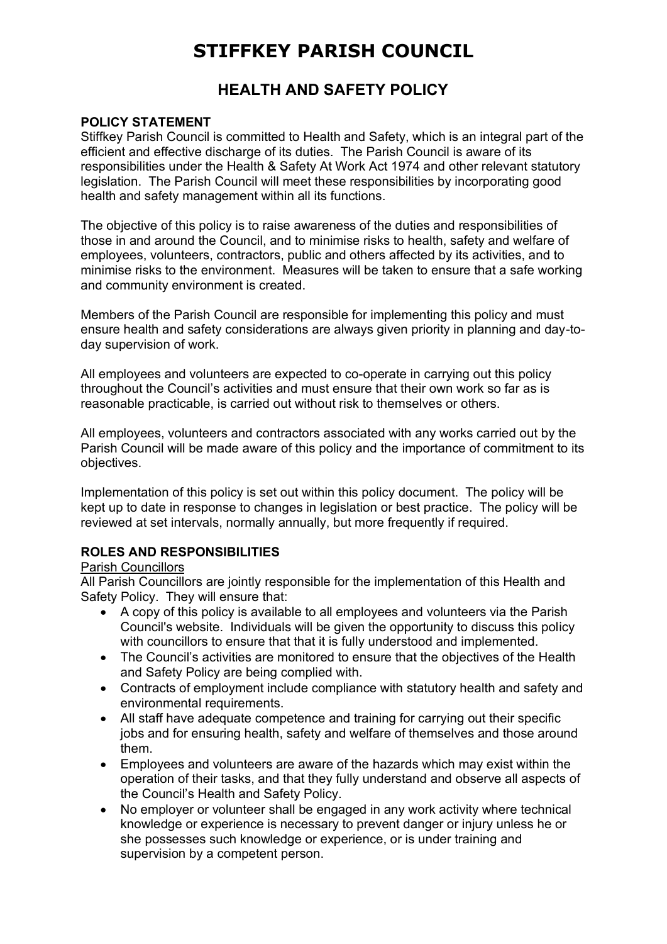# **STIFFKEY PARISH COUNCIL**

## **HEALTH AND SAFETY POLICY**

### **POLICY STATEMENT**

Stiffkey Parish Council is committed to Health and Safety, which is an integral part of the efficient and effective discharge of its duties. The Parish Council is aware of its responsibilities under the Health & Safety At Work Act 1974 and other relevant statutory legislation. The Parish Council will meet these responsibilities by incorporating good health and safety management within all its functions.

The objective of this policy is to raise awareness of the duties and responsibilities of those in and around the Council, and to minimise risks to health, safety and welfare of employees, volunteers, contractors, public and others affected by its activities, and to minimise risks to the environment. Measures will be taken to ensure that a safe working and community environment is created.

Members of the Parish Council are responsible for implementing this policy and must ensure health and safety considerations are always given priority in planning and day-today supervision of work.

All employees and volunteers are expected to co-operate in carrying out this policy throughout the Council's activities and must ensure that their own work so far as is reasonable practicable, is carried out without risk to themselves or others.

All employees, volunteers and contractors associated with any works carried out by the Parish Council will be made aware of this policy and the importance of commitment to its objectives.

Implementation of this policy is set out within this policy document. The policy will be kept up to date in response to changes in legislation or best practice. The policy will be reviewed at set intervals, normally annually, but more frequently if required.

### **ROLES AND RESPONSIBILITIES**

### Parish Councillors

All Parish Councillors are jointly responsible for the implementation of this Health and Safety Policy. They will ensure that:

- A copy of this policy is available to all employees and volunteers via the Parish Council's website. Individuals will be given the opportunity to discuss this policy with councillors to ensure that that it is fully understood and implemented.
- The Council's activities are monitored to ensure that the objectives of the Health and Safety Policy are being complied with.
- Contracts of employment include compliance with statutory health and safety and environmental requirements.
- All staff have adequate competence and training for carrying out their specific jobs and for ensuring health, safety and welfare of themselves and those around them.
- Employees and volunteers are aware of the hazards which may exist within the operation of their tasks, and that they fully understand and observe all aspects of the Council's Health and Safety Policy.
- No employer or volunteer shall be engaged in any work activity where technical knowledge or experience is necessary to prevent danger or injury unless he or she possesses such knowledge or experience, or is under training and supervision by a competent person.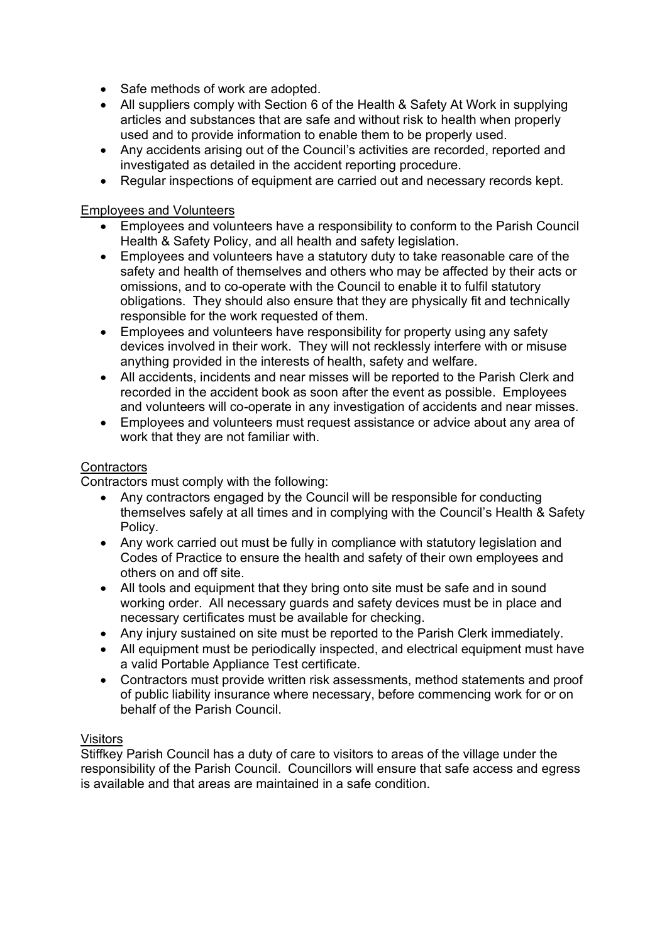- Safe methods of work are adopted.
- All suppliers comply with Section 6 of the Health & Safety At Work in supplying articles and substances that are safe and without risk to health when properly used and to provide information to enable them to be properly used.
- Any accidents arising out of the Council's activities are recorded, reported and investigated as detailed in the accident reporting procedure.
- Regular inspections of equipment are carried out and necessary records kept.

#### Employees and Volunteers

- Employees and volunteers have a responsibility to conform to the Parish Council Health & Safety Policy, and all health and safety legislation.
- Employees and volunteers have a statutory duty to take reasonable care of the safety and health of themselves and others who may be affected by their acts or omissions, and to co-operate with the Council to enable it to fulfil statutory obligations. They should also ensure that they are physically fit and technically responsible for the work requested of them.
- Employees and volunteers have responsibility for property using any safety devices involved in their work. They will not recklessly interfere with or misuse anything provided in the interests of health, safety and welfare.
- All accidents, incidents and near misses will be reported to the Parish Clerk and recorded in the accident book as soon after the event as possible. Employees and volunteers will co-operate in any investigation of accidents and near misses.
- Employees and volunteers must request assistance or advice about any area of work that they are not familiar with.

### **Contractors**

Contractors must comply with the following:

- Any contractors engaged by the Council will be responsible for conducting themselves safely at all times and in complying with the Council's Health & Safety Policy.
- Any work carried out must be fully in compliance with statutory legislation and Codes of Practice to ensure the health and safety of their own employees and others on and off site.
- All tools and equipment that they bring onto site must be safe and in sound working order. All necessary guards and safety devices must be in place and necessary certificates must be available for checking.
- Any injury sustained on site must be reported to the Parish Clerk immediately.
- All equipment must be periodically inspected, and electrical equipment must have a valid Portable Appliance Test certificate.
- Contractors must provide written risk assessments, method statements and proof of public liability insurance where necessary, before commencing work for or on behalf of the Parish Council.

### **Visitors**

Stiffkey Parish Council has a duty of care to visitors to areas of the village under the responsibility of the Parish Council. Councillors will ensure that safe access and egress is available and that areas are maintained in a safe condition.